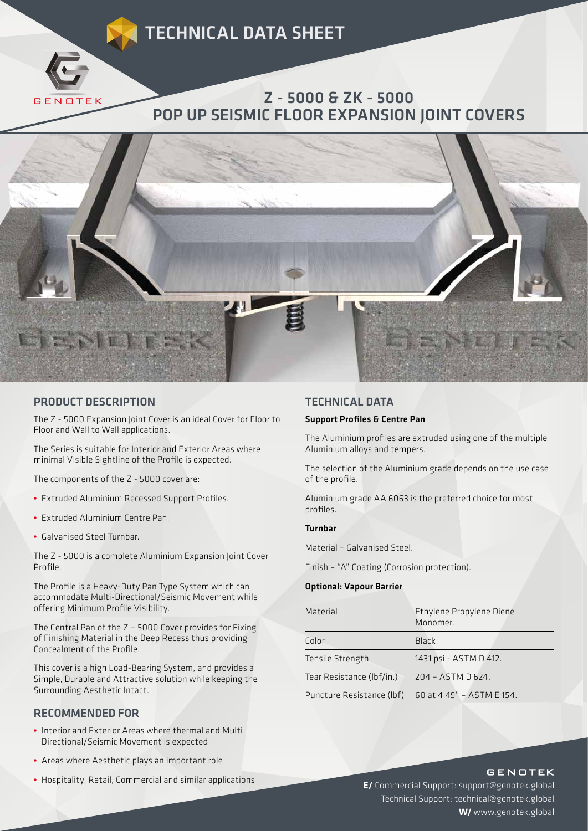# TECHNICAL DATA SHEET



## Z - 5000 & ZK - 5000 POP UP SEISMIC FLOOR EXPANSION JOINT COVERS



### PRODUCT DESCRIPTION

The Z - 5000 Expansion Joint Cover is an ideal Cover for Floor to Floor and Wall to Wall applications.

The Series is suitable for Interior and Exterior Areas where minimal Visible Sightline of the Profile is expected.

The components of the Z - 5000 cover are:

- Extruded Aluminium Recessed Support Profiles.
- Extruded Aluminium Centre Pan.
- Galvanised Steel Turnbar.

The Z - 5000 is a complete Aluminium Expansion Joint Cover Profile.

The Profile is a Heavy-Duty Pan Type System which can accommodate Multi-Directional/Seismic Movement while offering Minimum Profile Visibility.

The Central Pan of the Z – 5000 Cover provides for Fixing of Finishing Material in the Deep Recess thus providing Concealment of the Profile.

This cover is a high Load-Bearing System, and provides a Simple, Durable and Attractive solution while keeping the Surrounding Aesthetic Intact.

### RECOMMENDED FOR

- Interior and Exterior Areas where thermal and Multi Directional/Seismic Movement is expected
- Areas where Aesthetic plays an important role
- Hospitality, Retail, Commercial and similar applications

#### TECHNICAL DATA

### Support Profiles & Centre Pan

The Aluminium profiles are extruded using one of the multiple Aluminium alloys and tempers.

The selection of the Aluminium grade depends on the use case of the profile.

Aluminium grade AA 6063 is the preferred choice for most profiles.

#### Turnbar

Material – Galvanised Steel.

Finish – "A" Coating (Corrosion protection).

#### Optional: Vapour Barrier

| Material                  | Ethylene Propylene Diene<br>Monomer. |
|---------------------------|--------------------------------------|
| Color                     | Black.                               |
| Tensile Strength          | 1431 psi - ASTM D 412.               |
| Tear Resistance (Ibf/in.) | 204 - ASTM D 624.                    |
| Puncture Resistance (lbf) | 60 at 4.49" - ASTM E 154.            |

### **GENOTEK**

**E/** Commercial Support: support@genotek.global Technical Support: technical@genotek.global **W/** www.genotek.global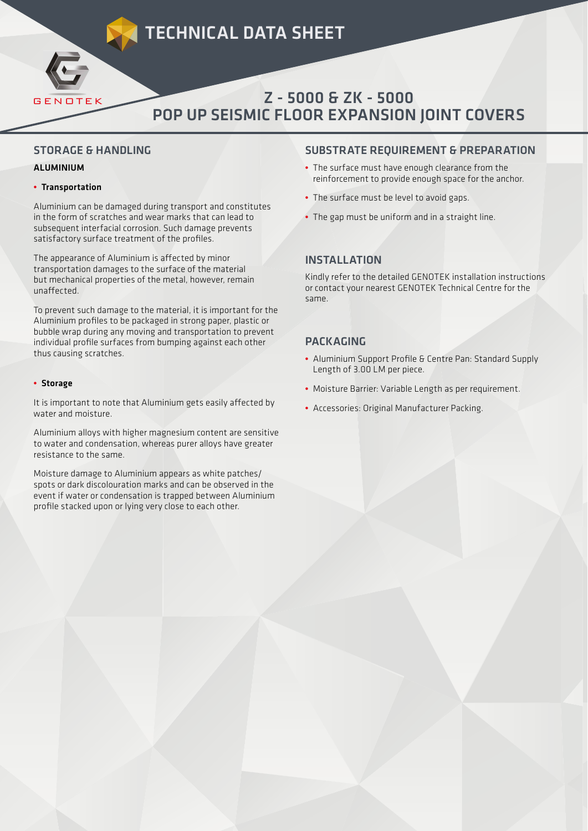# TECHNICAL DATA SHEET



# Z - 5000 & ZK - 5000 POP UP SEISMIC FLOOR EXPANSION JOINT COVERS

## STORAGE & HANDLING

### ALUMINIUM

### **•** Transportation

Aluminium can be damaged during transport and constitutes in the form of scratches and wear marks that can lead to subsequent interfacial corrosion. Such damage prevents satisfactory surface treatment of the profiles.

The appearance of Aluminium is affected by minor transportation damages to the surface of the material but mechanical properties of the metal, however, remain unaffected.

To prevent such damage to the material, it is important for the Aluminium profiles to be packaged in strong paper, plastic or bubble wrap during any moving and transportation to prevent individual profile surfaces from bumping against each other thus causing scratches.

#### **•** Storage

It is important to note that Aluminium gets easily affected by water and moisture.

Aluminium alloys with higher magnesium content are sensitive to water and condensation, whereas purer alloys have greater resistance to the same.

Moisture damage to Aluminium appears as white patches/ spots or dark discolouration marks and can be observed in the event if water or condensation is trapped between Aluminium profile stacked upon or lying very close to each other.

### SUBSTRATE REQUIREMENT & PREPARATION

- The surface must have enough clearance from the reinforcement to provide enough space for the anchor.
- The surface must be level to avoid gaps.
- The gap must be uniform and in a straight line.

## INSTALLATION

Kindly refer to the detailed GENOTEK installation instructions or contact your nearest GENOTEK Technical Centre for the same.

## **PACKAGING**

- Aluminium Support Profile & Centre Pan: Standard Supply Length of 3.00 LM per piece.
- Moisture Barrier: Variable Length as per requirement.
- Accessories: Original Manufacturer Packing.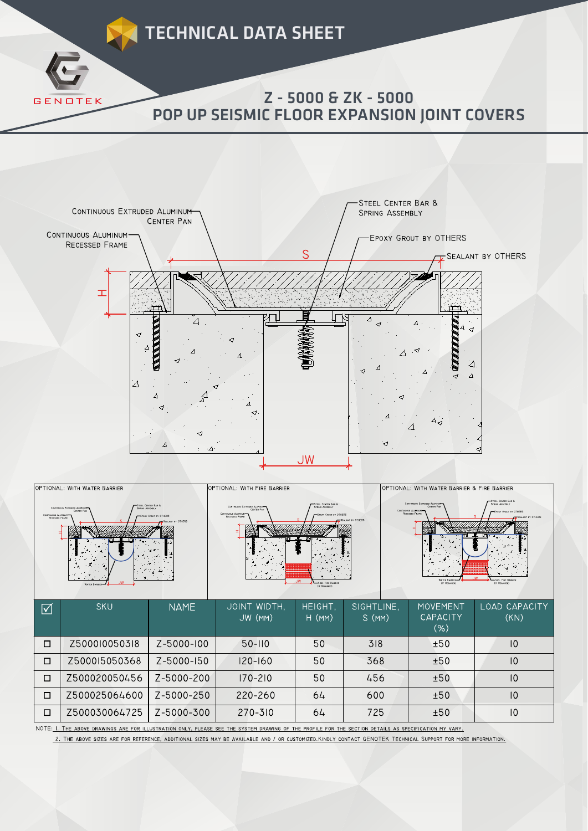



| OPTIONAL: WITH WATER BARRIER<br>STEEL CENTER BAR &<br>CONTINUOUS EXTRUDED ALUMINUM<br><b>FRING ASSEMBLY</b><br>CENTER PAN<br>CONTINUOUS ALUMINUM<br>EPOXY GROUT BY OTHERS<br>RECESSED FRAME<br>FAILANT BY OTHERS |               |             | OPTIONAL: WITH FIRE BARRIER<br>STEEL CENTER BAR B<br>CONTINUOUS EXTRUDED ALUMINUM<br><b>Seepas Assembly</b><br>CENTER PAN<br>CONTINUOUS ALLMINUM<br>EPOXY GROUT BY OTHERS<br>RECESSED FRAME<br><b>CALANT BY OTHERS</b><br>(IF REQUIRED) |                     |                     | OPTIONAL: WITH WATER BARRIER & FIRE BARRIER<br>STEEL CENTER BAR &<br>CONTINUOUS EXTRUDED ALUMINUM<br>SPRING ASSEMBLY<br><b>CENTER PAY</b><br>CONTINUOUS ALUMINUM<br>EPOXY GROUT BY OTHERS<br>RECESSED FRAME<br><b>WATER BARRI</b><br>(IF REQUIRED)<br>(IF REQUIRED) |                       |  |
|------------------------------------------------------------------------------------------------------------------------------------------------------------------------------------------------------------------|---------------|-------------|-----------------------------------------------------------------------------------------------------------------------------------------------------------------------------------------------------------------------------------------|---------------------|---------------------|---------------------------------------------------------------------------------------------------------------------------------------------------------------------------------------------------------------------------------------------------------------------|-----------------------|--|
| ☑                                                                                                                                                                                                                | <b>SKU</b>    | <b>NAME</b> | JOINT WIDTH,<br>JW (MM)                                                                                                                                                                                                                 | HEIGHT,<br>$H$ (MM) | SIGHTLINE,<br>S(MM) | <b>MOVEMENT</b><br><b>CAPACITY</b><br>(% )                                                                                                                                                                                                                          | LOAD CAPACITY<br>(KN) |  |
| □                                                                                                                                                                                                                | Z500010050318 | Z-5000-100  | $50 - 110$                                                                                                                                                                                                                              | 50                  | 318                 | ±50                                                                                                                                                                                                                                                                 | $\overline{0}$        |  |
| $\Box$                                                                                                                                                                                                           | Z500015050368 | Z-5000-150  | $120 - 160$                                                                                                                                                                                                                             | 50                  | 368                 | ±50                                                                                                                                                                                                                                                                 | $\overline{0}$        |  |
| $\Box$                                                                                                                                                                                                           | Z500020050456 | Z-5000-200  | $170 - 210$                                                                                                                                                                                                                             | 50                  | 456                 | ±50                                                                                                                                                                                                                                                                 | $ 0\rangle$           |  |
| □                                                                                                                                                                                                                | Z500025064600 | Z-5000-250  | 220-260                                                                                                                                                                                                                                 | 64                  | 600                 | ±50                                                                                                                                                                                                                                                                 | $\overline{0}$        |  |
| $\Box$                                                                                                                                                                                                           | Z500030064725 | Z-5000-300  | 270-310                                                                                                                                                                                                                                 | 64                  | 725                 | ±50                                                                                                                                                                                                                                                                 | $\overline{10}$       |  |

NOTE: I. THE ABOVE DRAWINGS ARE FOR ILLUSTRATION ONLY, PLEASE SEE THE SYSTEM DRAWING OF THE PROFILE FOR THE SECTION DETAILS AS SPECIFICATION MY VARY.

2. THE ABOVE SIZES ARE FOR REFERENCE, ADDITIONAL SIZES MAY BE AVAILABLE AND / OR CUSTOMIZED.KINDLY CONTACT GENOTEK TECHNICAL SUPPORT FOR MORE INFORMATION.